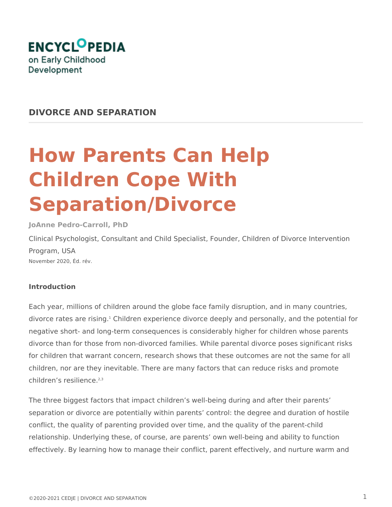

## **DIVORCE AND SEPARATION**

# **How Parents Can Help Children Cope With Separation/Divorce**

**JoAnne Pedro-Carroll, PhD**

Clinical Psychologist, Consultant and Child Specialist, Founder, Children of Divorce Intervention Program, USA November 2020, Éd. rév.

### **Introduction**

Each year, millions of children around the globe face family disruption, and in many countries, divorce rates are rising.<sup>1</sup> Children experience divorce deeply and personally, and the potential for negative short- and long-term consequences is considerably higher for children whose parents divorce than for those from non-divorced families. While parental divorce poses significant risks for children that warrant concern, research shows that these outcomes are not the same for all children, nor are they inevitable. There are many factors that can reduce risks and promote children's resilience. $2,3$ 

The three biggest factors that impact children's well-being during and after their parents' separation or divorce are potentially within parents' control: the degree and duration of hostile conflict, the quality of parenting provided over time, and the quality of the parent-child relationship. Underlying these, of course, are parents' own well-being and ability to function effectively. By learning how to manage their conflict, parent effectively, and nurture warm and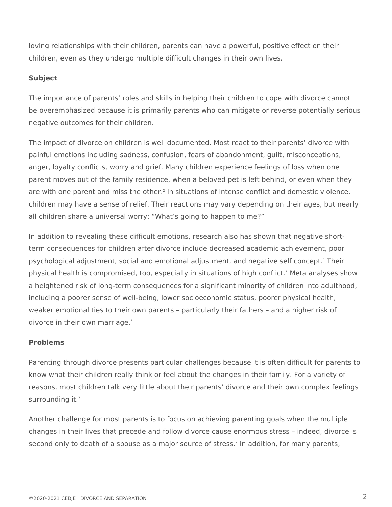loving relationships with their children, parents can have a powerful, positive effect on their children, even as they undergo multiple difficult changes in their own lives.

#### **Subject**

The importance of parents' roles and skills in helping their children to cope with divorce cannot be overemphasized because it is primarily parents who can mitigate or reverse potentially serious negative outcomes for their children.

The impact of divorce on children is well documented. Most react to their parents' divorce with painful emotions including sadness, confusion, fears of abandonment, guilt, misconceptions, anger, loyalty conflicts, worry and grief. Many children experience feelings of loss when one parent moves out of the family residence, when a beloved pet is left behind, or even when they are with one parent and miss the other.<sup>2</sup> In situations of intense conflict and domestic violence, children may have a sense of relief. Their reactions may vary depending on their ages, but nearly all children share a universal worry: "What's going to happen to me?"

In addition to revealing these difficult emotions, research also has shown that negative shortterm consequences for children after divorce include decreased academic achievement, poor psychological adjustment, social and emotional adjustment, and negative self concept.<sup>4</sup> Their physical health is compromised, too, especially in situations of high conflict.<sup>5</sup> Meta analyses show a heightened risk of long-term consequences for a significant minority of children into adulthood, including a poorer sense of well-being, lower socioeconomic status, poorer physical health, weaker emotional ties to their own parents – particularly their fathers – and a higher risk of divorce in their own marriage.<sup>6</sup>

#### **Problems**

Parenting through divorce presents particular challenges because it is often difficult for parents to know what their children really think or feel about the changes in their family. For a variety of reasons, most children talk very little about their parents' divorce and their own complex feelings surrounding it.<sup>2</sup>

Another challenge for most parents is to focus on achieving parenting goals when the multiple changes in their lives that precede and follow divorce cause enormous stress – indeed, divorce is second only to death of a spouse as a major source of stress.<sup>7</sup> In addition, for many parents,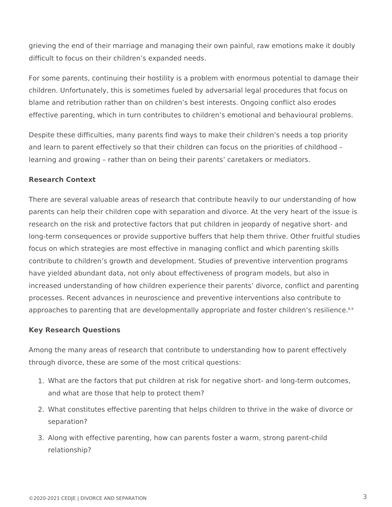grieving the end of their marriage and managing their own painful, raw emotions make it doubly difficult to focus on their children's expanded needs.

For some parents, continuing their hostility is a problem with enormous potential to damage their children. Unfortunately, this is sometimes fueled by adversarial legal procedures that focus on blame and retribution rather than on children's best interests. Ongoing conflict also erodes effective parenting, which in turn contributes to children's emotional and behavioural problems.

Despite these difficulties, many parents find ways to make their children's needs a top priority and learn to parent effectively so that their children can focus on the priorities of childhood – learning and growing – rather than on being their parents' caretakers or mediators.

#### **Research Context**

There are several valuable areas of research that contribute heavily to our understanding of how parents can help their children cope with separation and divorce. At the very heart of the issue is research on the risk and protective factors that put children in jeopardy of negative short- and long-term consequences or provide supportive buffers that help them thrive. Other fruitful studies focus on which strategies are most effective in managing conflict and which parenting skills contribute to children's growth and development. Studies of preventive intervention programs have yielded abundant data, not only about effectiveness of program models, but also in increased understanding of how children experience their parents' divorce, conflict and parenting processes. Recent advances in neuroscience and preventive interventions also contribute to approaches to parenting that are developmentally appropriate and foster children's resilience.<sup>8,9</sup>

### **Key Research Questions**

Among the many areas of research that contribute to understanding how to parent effectively through divorce, these are some of the most critical questions:

- 1. What are the factors that put children at risk for negative short- and long-term outcomes, and what are those that help to protect them?
- 2. What constitutes effective parenting that helps children to thrive in the wake of divorce or separation?
- 3. Along with effective parenting, how can parents foster a warm, strong parent-child relationship?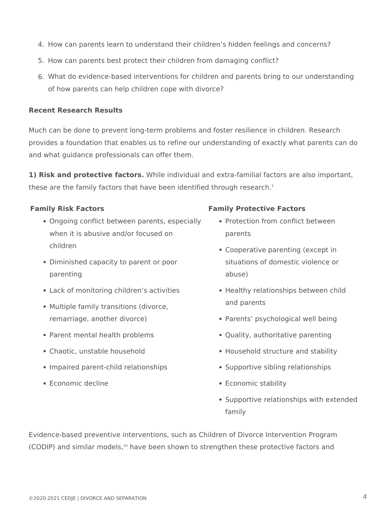- 4. How can parents learn to understand their children's hidden feelings and concerns?
- 5. How can parents best protect their children from damaging conflict?
- 6. What do evidence-based interventions for children and parents bring to our understanding of how parents can help children cope with divorce?

#### **Recent Research Results**

Much can be done to prevent long-term problems and foster resilience in children. Research provides a foundation that enables us to refine our understanding of exactly what parents can do and what guidance professionals can offer them.

**1) Risk and protective factors.** While individual and extra-familial factors are also important, these are the family factors that have been identified through research. $2$ 

- Ongoing conflict between parents, especially when it is abusive and/or focused on children
- Diminished capacity to parent or poor parenting
- Lack of monitoring children's activities
- Multiple family transitions (divorce, remarriage, another divorce)
- Parent mental health problems
- Chaotic, unstable household
- Impaired parent-child relationships
- Economic decline

#### **Family Risk Factors Family Protective Factors**

- Protection from conflict between parents
- Cooperative parenting (except in situations of domestic violence or abuse)
- Healthy relationships between child and parents
- Parents' psychological well being
- Quality, authoritative parenting
- Household structure and stability
- Supportive sibling relationships
- Economic stability
- Supportive relationships with extended family

Evidence-based preventive interventions, such as Children of Divorce Intervention Program (CODIP) and similar models,<sup>10</sup> have been shown to strengthen these protective factors and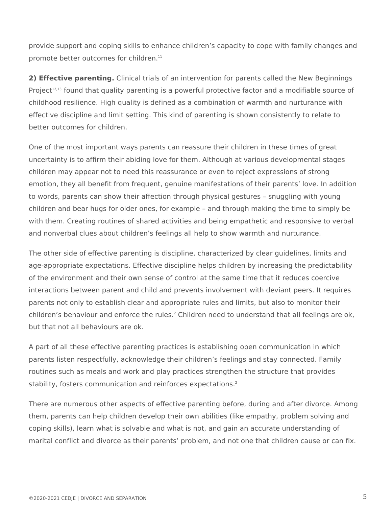provide support and coping skills to enhance children's capacity to cope with family changes and promote better outcomes for children.<sup>11</sup>

**2) Effective parenting.** Clinical trials of an intervention for parents called the New Beginnings Project<sup>12,13</sup> found that quality parenting is a powerful protective factor and a modifiable source of childhood resilience. High quality is defined as a combination of warmth and nurturance with effective discipline and limit setting. This kind of parenting is shown consistently to relate to better outcomes for children.

One of the most important ways parents can reassure their children in these times of great uncertainty is to affirm their abiding love for them. Although at various developmental stages children may appear not to need this reassurance or even to reject expressions of strong emotion, they all benefit from frequent, genuine manifestations of their parents' love. In addition to words, parents can show their affection through physical gestures – snuggling with young children and bear hugs for older ones, for example – and through making the time to simply be with them. Creating routines of shared activities and being empathetic and responsive to verbal and nonverbal clues about children's feelings all help to show warmth and nurturance.

The other side of effective parenting is discipline, characterized by clear guidelines, limits and age-appropriate expectations. Effective discipline helps children by increasing the predictability of the environment and their own sense of control at the same time that it reduces coercive interactions between parent and child and prevents involvement with deviant peers. It requires parents not only to establish clear and appropriate rules and limits, but also to monitor their children's behaviour and enforce the rules.<sup>2</sup> Children need to understand that all feelings are ok, but that not all behaviours are ok.

A part of all these effective parenting practices is establishing open communication in which parents listen respectfully, acknowledge their children's feelings and stay connected. Family routines such as meals and work and play practices strengthen the structure that provides stability, fosters communication and reinforces expectations.<sup>2</sup>

There are numerous other aspects of effective parenting before, during and after divorce. Among them, parents can help children develop their own abilities (like empathy, problem solving and coping skills), learn what is solvable and what is not, and gain an accurate understanding of marital conflict and divorce as their parents' problem, and not one that children cause or can fix.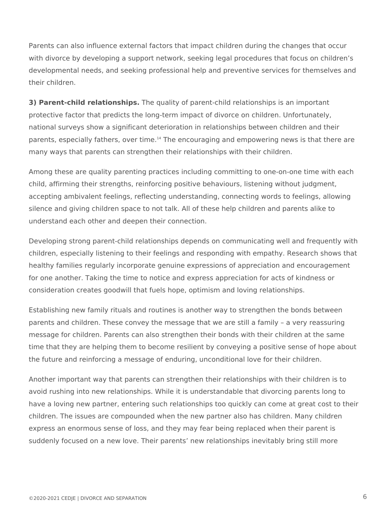Parents can also influence external factors that impact children during the changes that occur with divorce by developing a support network, seeking legal procedures that focus on children's developmental needs, and seeking professional help and preventive services for themselves and their children.

**3) Parent-child relationships.** The quality of parent-child relationships is an important protective factor that predicts the long-term impact of divorce on children. Unfortunately, national surveys show a significant deterioration in relationships between children and their parents, especially fathers, over time.<sup>14</sup> The encouraging and empowering news is that there are many ways that parents can strengthen their relationships with their children.

Among these are quality parenting practices including committing to one-on-one time with each child, affirming their strengths, reinforcing positive behaviours, listening without judgment, accepting ambivalent feelings, reflecting understanding, connecting words to feelings, allowing silence and giving children space to not talk. All of these help children and parents alike to understand each other and deepen their connection.

Developing strong parent-child relationships depends on communicating well and frequently with children, especially listening to their feelings and responding with empathy. Research shows that healthy families regularly incorporate genuine expressions of appreciation and encouragement for one another. Taking the time to notice and express appreciation for acts of kindness or consideration creates goodwill that fuels hope, optimism and loving relationships.

Establishing new family rituals and routines is another way to strengthen the bonds between parents and children. These convey the message that we are still a family – a very reassuring message for children. Parents can also strengthen their bonds with their children at the same time that they are helping them to become resilient by conveying a positive sense of hope about the future and reinforcing a message of enduring, unconditional love for their children.

Another important way that parents can strengthen their relationships with their children is to avoid rushing into new relationships. While it is understandable that divorcing parents long to have a loving new partner, entering such relationships too quickly can come at great cost to their children. The issues are compounded when the new partner also has children. Many children express an enormous sense of loss, and they may fear being replaced when their parent is suddenly focused on a new love. Their parents' new relationships inevitably bring still more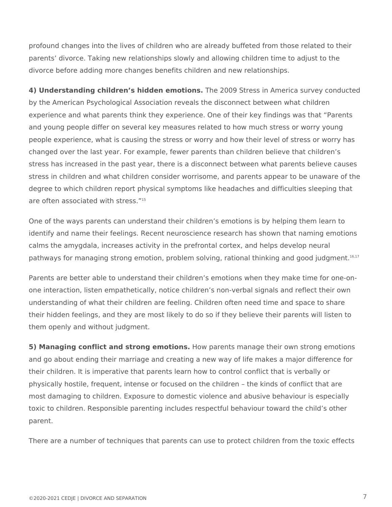profound changes into the lives of children who are already buffeted from those related to their parents' divorce. Taking new relationships slowly and allowing children time to adjust to the divorce before adding more changes benefits children and new relationships.

**4) Understanding children's hidden emotions.** The 2009 Stress in America survey conducted by the American Psychological Association reveals the disconnect between what children experience and what parents think they experience. One of their key findings was that "Parents and young people differ on several key measures related to how much stress or worry young people experience, what is causing the stress or worry and how their level of stress or worry has changed over the last year. For example, fewer parents than children believe that children's stress has increased in the past year, there is a disconnect between what parents believe causes stress in children and what children consider worrisome, and parents appear to be unaware of the degree to which children report physical symptoms like headaches and difficulties sleeping that are often associated with stress."<sup>15</sup>

One of the ways parents can understand their children's emotions is by helping them learn to identify and name their feelings. Recent neuroscience research has shown that naming emotions calms the amygdala, increases activity in the prefrontal cortex, and helps develop neural pathways for managing strong emotion, problem solving, rational thinking and good judgment.16,17

Parents are better able to understand their children's emotions when they make time for one-onone interaction, listen empathetically, notice children's non-verbal signals and reflect their own understanding of what their children are feeling. Children often need time and space to share their hidden feelings, and they are most likely to do so if they believe their parents will listen to them openly and without judgment.

**5) Managing conflict and strong emotions.** How parents manage their own strong emotions and go about ending their marriage and creating a new way of life makes a major difference for their children. It is imperative that parents learn how to control conflict that is verbally or physically hostile, frequent, intense or focused on the children – the kinds of conflict that are most damaging to children. Exposure to domestic violence and abusive behaviour is especially toxic to children. Responsible parenting includes respectful behaviour toward the child's other parent.

There are a number of techniques that parents can use to protect children from the toxic effects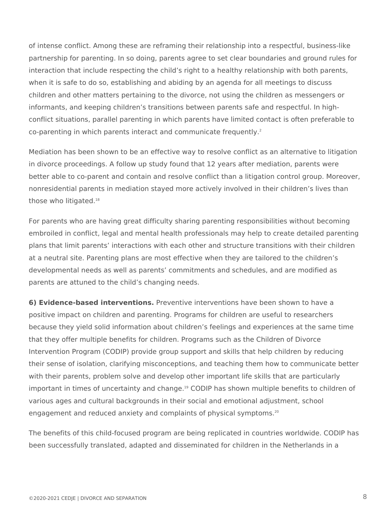of intense conflict. Among these are reframing their relationship into a respectful, business-like partnership for parenting. In so doing, parents agree to set clear boundaries and ground rules for interaction that include respecting the child's right to a healthy relationship with both parents, when it is safe to do so, establishing and abiding by an agenda for all meetings to discuss children and other matters pertaining to the divorce, not using the children as messengers or informants, and keeping children's transitions between parents safe and respectful. In highconflict situations, parallel parenting in which parents have limited contact is often preferable to co-parenting in which parents interact and communicate frequently.<sup>2</sup>

Mediation has been shown to be an effective way to resolve conflict as an alternative to litigation in divorce proceedings. A follow up study found that 12 years after mediation, parents were better able to co-parent and contain and resolve conflict than a litigation control group. Moreover, nonresidential parents in mediation stayed more actively involved in their children's lives than those who litigated.<sup>18</sup>

For parents who are having great difficulty sharing parenting responsibilities without becoming embroiled in conflict, legal and mental health professionals may help to create detailed parenting plans that limit parents' interactions with each other and structure transitions with their children at a neutral site. Parenting plans are most effective when they are tailored to the children's developmental needs as well as parents' commitments and schedules, and are modified as parents are attuned to the child's changing needs.

**6) Evidence-based interventions.** Preventive interventions have been shown to have a positive impact on children and parenting. Programs for children are useful to researchers because they yield solid information about children's feelings and experiences at the same time that they offer multiple benefits for children. Programs such as the Children of Divorce Intervention Program (CODIP) provide group support and skills that help children by reducing their sense of isolation, clarifying misconceptions, and teaching them how to communicate better with their parents, problem solve and develop other important life skills that are particularly important in times of uncertainty and change.<sup>19</sup> CODIP has shown multiple benefits to children of various ages and cultural backgrounds in their social and emotional adjustment, school engagement and reduced anxiety and complaints of physical symptoms.<sup>20</sup>

The benefits of this child-focused program are being replicated in countries worldwide. CODIP has been successfully translated, adapted and disseminated for children in the Netherlands in a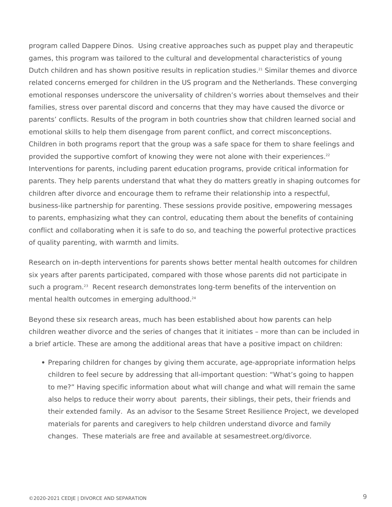program called Dappere Dinos. Using creative approaches such as puppet play and therapeutic games, this program was tailored to the cultural and developmental characteristics of young Dutch children and has shown positive results in replication studies.<sup>21</sup> Similar themes and divorce related concerns emerged for children in the US program and the Netherlands. These converging emotional responses underscore the universality of children's worries about themselves and their families, stress over parental discord and concerns that they may have caused the divorce or parents' conflicts. Results of the program in both countries show that children learned social and emotional skills to help them disengage from parent conflict, and correct misconceptions. Children in both programs report that the group was a safe space for them to share feelings and provided the supportive comfort of knowing they were not alone with their experiences.<sup>22</sup> Interventions for parents, including parent education programs, provide critical information for parents. They help parents understand that what they do matters greatly in shaping outcomes for children after divorce and encourage them to reframe their relationship into a respectful, business-like partnership for parenting. These sessions provide positive, empowering messages to parents, emphasizing what they can control, educating them about the benefits of containing conflict and collaborating when it is safe to do so, and teaching the powerful protective practices of quality parenting, with warmth and limits.

Research on in-depth interventions for parents shows better mental health outcomes for children six years after parents participated, compared with those whose parents did not participate in such a program.<sup>23</sup> Recent research demonstrates long-term benefits of the intervention on mental health outcomes in emerging adulthood.<sup>24</sup>

Beyond these six research areas, much has been established about how parents can help children weather divorce and the series of changes that it initiates – more than can be included in a brief article. These are among the additional areas that have a positive impact on children:

• Preparing children for changes by giving them accurate, age-appropriate information helps children to feel secure by addressing that all-important question: "What's going to happen to me?" Having specific information about what will change and what will remain the same also helps to reduce their worry about parents, their siblings, their pets, their friends and their extended family. As an advisor to the Sesame Street Resilience Project, we developed materials for parents and caregivers to help children understand divorce and family changes. These materials are free and available at sesamestreet.org/divorce.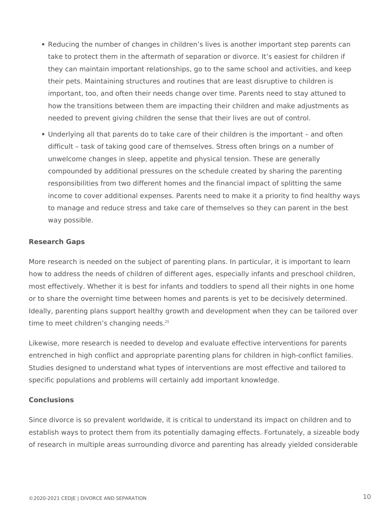- Reducing the number of changes in children's lives is another important step parents can take to protect them in the aftermath of separation or divorce. It's easiest for children if they can maintain important relationships, go to the same school and activities, and keep their pets. Maintaining structures and routines that are least disruptive to children is important, too, and often their needs change over time. Parents need to stay attuned to how the transitions between them are impacting their children and make adjustments as needed to prevent giving children the sense that their lives are out of control.
- Underlying all that parents do to take care of their children is the important and often difficult – task of taking good care of themselves. Stress often brings on a number of unwelcome changes in sleep, appetite and physical tension. These are generally compounded by additional pressures on the schedule created by sharing the parenting responsibilities from two different homes and the financial impact of splitting the same income to cover additional expenses. Parents need to make it a priority to find healthy ways to manage and reduce stress and take care of themselves so they can parent in the best way possible.

#### **Research Gaps**

More research is needed on the subject of parenting plans. In particular, it is important to learn how to address the needs of children of different ages, especially infants and preschool children, most effectively. Whether it is best for infants and toddlers to spend all their nights in one home or to share the overnight time between homes and parents is yet to be decisively determined. Ideally, parenting plans support healthy growth and development when they can be tailored over time to meet children's changing needs.<sup>25</sup>

Likewise, more research is needed to develop and evaluate effective interventions for parents entrenched in high conflict and appropriate parenting plans for children in high-conflict families. Studies designed to understand what types of interventions are most effective and tailored to specific populations and problems will certainly add important knowledge.

#### **Conclusions**

Since divorce is so prevalent worldwide, it is critical to understand its impact on children and to establish ways to protect them from its potentially damaging effects. Fortunately, a sizeable body of research in multiple areas surrounding divorce and parenting has already yielded considerable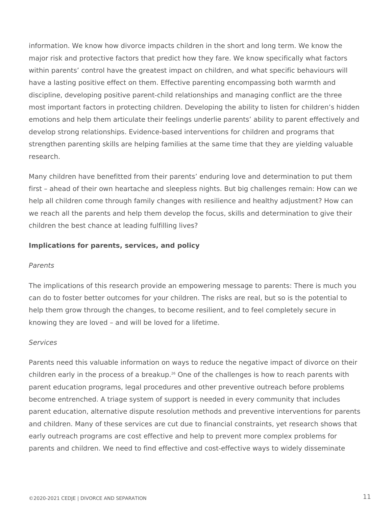information. We know how divorce impacts children in the short and long term. We know the major risk and protective factors that predict how they fare. We know specifically what factors within parents' control have the greatest impact on children, and what specific behaviours will have a lasting positive effect on them. Effective parenting encompassing both warmth and discipline, developing positive parent-child relationships and managing conflict are the three most important factors in protecting children. Developing the ability to listen for children's hidden emotions and help them articulate their feelings underlie parents' ability to parent effectively and develop strong relationships. Evidence-based interventions for children and programs that strengthen parenting skills are helping families at the same time that they are yielding valuable research.

Many children have benefitted from their parents' enduring love and determination to put them first – ahead of their own heartache and sleepless nights. But big challenges remain: How can we help all children come through family changes with resilience and healthy adjustment? How can we reach all the parents and help them develop the focus, skills and determination to give their children the best chance at leading fulfilling lives?

#### **Implications for parents, services, and policy**

#### *Parents*

The implications of this research provide an empowering message to parents: There is much you can do to foster better outcomes for your children. The risks are real, but so is the potential to help them grow through the changes, to become resilient, and to feel completely secure in knowing they are loved – and will be loved for a lifetime.

#### *Services*

Parents need this valuable information on ways to reduce the negative impact of divorce on their children early in the process of a breakup.<sup>26</sup> One of the challenges is how to reach parents with parent education programs, legal procedures and other preventive outreach before problems become entrenched. A triage system of support is needed in every community that includes parent education, alternative dispute resolution methods and preventive interventions for parents and children. Many of these services are cut due to financial constraints, yet research shows that early outreach programs are cost effective and help to prevent more complex problems for parents and children. We need to find effective and cost-effective ways to widely disseminate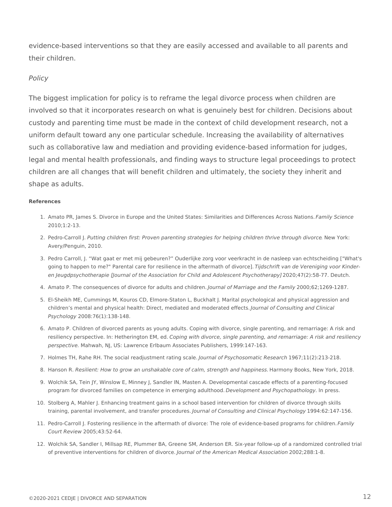evidence-based interventions so that they are easily accessed and available to all parents and their children.

#### *Policy*

The biggest implication for policy is to reframe the legal divorce process when children are involved so that it incorporates research on what is genuinely best for children. Decisions about custody and parenting time must be made in the context of child development research, not a uniform default toward any one particular schedule. Increasing the availability of alternatives such as collaborative law and mediation and providing evidence-based information for judges, legal and mental health professionals, and finding ways to structure legal proceedings to protect children are all changes that will benefit children and ultimately, the society they inherit and shape as adults.

#### **References**

- 1. Amato PR, James S. Divorce in Europe and the United States: Similarities and Differences Across Nations. *Family Science* 2010;1:2-13.
- 2. Pedro-Carroll J. Putting children first: Proven parenting strategies for helping children thrive through divorce. New York: Avery/Penguin, 2010.
- 3. Pedro Carroll, J. "Wat gaat er met mij gebeuren?" Ouderlijke zorg voor veerkracht in de nasleep van echtscheiding ["What's going to happen to me?" Parental care for resilience in the aftermath of divorce]. *Tijdschrift van de Vereniging voor Kinder*en Jeugdpsychotherapie [Journal of the Association for Child and Adolescent Psychotherapy] 2020;47(2):58-77. Deutch.
- 4. Amato P. The consequences of divorce for adults and children. *Journal of Marriage and the Family* 2000;62;1269-1287.
- 5. El-Sheikh ME, Cummings M, Kouros CD, Elmore-Staton L, Buckhalt J. Marital psychological and physical aggression and children's mental and physical health: Direct, mediated and moderated effects. *Journal of Consulting and Clinical*  2008:76(1):138-148. *Psychology*
- 6. Amato P. Children of divorced parents as young adults. Coping with divorce, single parenting, and remarriage: A risk and resiliency perspective. In: Hetherington EM, ed. *Coping with divorce, single parenting, and remarriage: A risk and resiliency*  perspective. Mahwah, NJ, US: Lawrence Erlbaum Associates Publishers, 1999:147-163.
- 7. Holmes TH, Rahe RH. The social readjustment rating scale. *Journal of Psychosomatic Research* 1967;11(2):213-218.
- 8. Hanson R. *Resilient: How to grow an unshakable core of calm, strength and happiness.* Harmony Books, New York, 2018.
- 9. Wolchik SA, Tein JY, Winslow E, Minney J, Sandler IN, Masten A. Developmental cascade effects of a parenting-focused program for divorced families on competence in emerging adulthood. *Development and Psychopathology.* In press.
- 10. Stolberg A, Mahler J. Enhancing treatment gains in a school based intervention for children of divorce through skills training, parental involvement, and transfer procedures. *Journal of Consulting and Clinical Psychology* 1994:62:147-156.
- 11. Pedro-Carroll J. Fostering resilience in the aftermath of divorce: The role of evidence-based programs for children. *Family*  2005;43:52-64. *Court Review*
- 12. Wolchik SA, Sandler I, Millsap RE, Plummer BA, Greene SM, Anderson ER. Six-year follow-up of a randomized controlled trial of preventive interventions for children of divorce. *Journal of the American Medical Association* 2002;288:1-8.